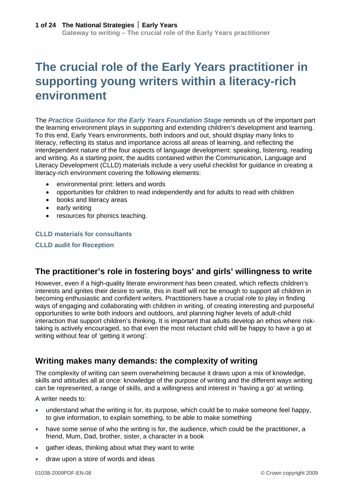# **The crucial role of the Early Years practitioner in supporting young writers within a literacy-rich environment**

The *[Practice Guidance for the Early Years Foundation Stage](http://nationalstrategies.standards.dcsf.gov.uk/node/84490)* reminds us of the important part the learning environment plays in supporting and extending children's development and learning. To this end, Early Years environments, both indoors and out, should display many links to literacy, reflecting its status and importance across all areas of learning, and reflecting the interdependent nature of the four aspects of language development: speaking, listening, reading and writing. As a starting point, the audits contained within the Communication, Language and Literacy Development (CLLD) materials include a very useful checklist for guidance in creating a literacy-rich environment covering the following elements:

- environmental print: letters and words
- opportunities for children to read independently and for adults to read with children
- books and literacy areas
- early writing
- resources for phonics teaching.

#### **[CLLD materials for consultants](http://nationalstrategies.standards.dcsf.gov.uk/node/198256)**

**[CLLD audit for Reception](http://nationalstrategies.standards.dcsf.gov.uk/node/64531)**

### **The practitioner's role in fostering boys' and girls' willingness to write**

However, even if a high-quality literate environment has been created, which reflects children's interests and ignites their desire to write, this in itself will not be enough to support all children in becoming enthusiastic and confident writers. Practitioners have a crucial role to play in finding ways of engaging and collaborating with children in writing, of creating interesting and purposeful opportunities to write both indoors and outdoors, and planning higher levels of adult-child interaction that support children's thinking. It is important that adults develop an ethos where risktaking is actively encouraged, so that even the most reluctant child will be happy to have a go at writing without fear of 'getting it wrong'.

### **Writing makes many demands: the complexity of writing**

The complexity of writing can seem overwhelming because it draws upon a mix of knowledge, skills and attitudes all at once: knowledge of the purpose of writing and the different ways writing can be represented, a range of skills, and a willingness and interest in 'having a go' at writing.

A writer needs to:

- understand what the writing is for, its purpose, which could be to make someone feel happy, to give information, to explain something, to be able to make something
- have some sense of who the writing is for, the audience, which could be the practitioner, a friend, Mum, Dad, brother, sister, a character in a book
- gather ideas, thinking about what they want to write
- draw upon a store of words and ideas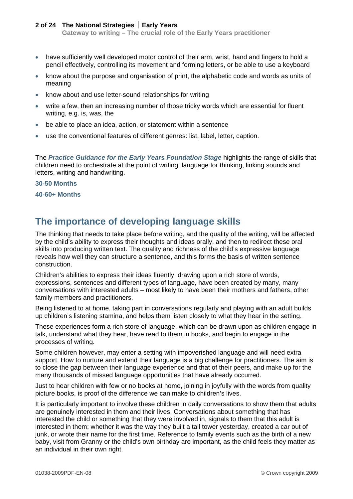**Gateway to writing – The crucial role of the Early Years practitioner**

- have sufficiently well developed motor control of their arm, wrist, hand and fingers to hold a pencil effectively, controlling its movement and forming letters, or be able to use a keyboard
- know about the purpose and organisation of print, the alphabetic code and words as units of meaning
- know about and use letter-sound relationships for writing
- write a few, then an increasing number of those tricky words which are essential for fluent writing, e.g. is, was, the
- be able to place an idea, action, or statement within a sentence
- use the conventional features of different genres: list, label, letter, caption.

The *[Practice Guidance for the Early Years Foundation Stage](http://nationalstrategies.standards.dcsf.gov.uk/node/84490)* highlights the range of skills that children need to orchestrate at the point of writing: language for thinking, linking sounds and letters, writing and handwriting.

#### **[30-50 Months](http://nationalstrategies.standards.dcsf.gov.uk/eyfs/taxonomy/33660/33695/0/46384)**

**[40-60+ Months](http://nationalstrategies.standards.dcsf.gov.uk/eyfs/taxonomy/33660/33694/0/46384)**

### **The importance of developing language skills**

The thinking that needs to take place before writing, and the quality of the writing, will be affected by the child's ability to express their thoughts and ideas orally, and then to redirect these oral skills into producing written text. The quality and richness of the child's expressive language reveals how well they can structure a sentence, and this forms the basis of written sentence construction.

Children's abilities to express their ideas fluently, drawing upon a rich store of words, expressions, sentences and different types of language, have been created by many, many conversations with interested adults – most likely to have been their mothers and fathers, other family members and practitioners.

Being listened to at home, taking part in conversations regularly and playing with an adult builds up children's listening stamina, and helps them listen closely to what they hear in the setting.

These experiences form a rich store of language, which can be drawn upon as children engage in talk, understand what they hear, have read to them in books, and begin to engage in the processes of writing.

Some children however, may enter a setting with impoverished language and will need extra support. How to nurture and extend their language is a big challenge for practitioners. The aim is to close the gap between their language experience and that of their peers, and make up for the many thousands of missed language opportunities that have already occurred.

Just to hear children with few or no books at home, joining in joyfully with the words from quality picture books, is proof of the difference we can make to children's lives.

It is particularly important to involve these children in daily conversations to show them that adults are genuinely interested in them and their lives. Conversations about something that has interested the child or something that they were involved in, signals to them that this adult is interested in them; whether it was the way they built a tall tower yesterday, created a car out of junk, or wrote their name for the first time. Reference to family events such as the birth of a new baby, visit from Granny or the child's own birthday are important, as the child feels they matter as an individual in their own right.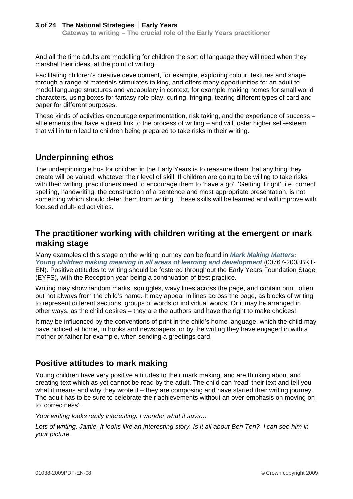And all the time adults are modelling for children the sort of language they will need when they marshal their ideas, at the point of writing.

Facilitating children's creative development, for example, exploring colour, textures and shape through a range of materials stimulates talking, and offers many opportunities for an adult to model language structures and vocabulary in context, for example making homes for small world characters, using boxes for fantasy role-play, curling, fringing, tearing different types of card and paper for different purposes.

These kinds of activities encourage experimentation, risk taking, and the experience of success – all elements that have a direct link to the process of writing – and will foster higher self-esteem that will in turn lead to children being prepared to take risks in their writing.

### **Underpinning ethos**

The underpinning ethos for children in the Early Years is to reassure them that anything they create will be valued, whatever their level of skill. If children are going to be willing to take risks with their writing, practitioners need to encourage them to 'have a go'. 'Getting it right', i.e. correct spelling, handwriting, the construction of a sentence and most appropriate presentation, is not something which should deter them from writing. These skills will be learned and will improve with focused adult-led activities.

### **The practitioner working with children writing at the emergent or mark making stage**

Many examples of this stage on the writing journey can be found in *[Mark Making Matters:](http://nationalstrategies.standards.dcsf.gov.uk/node/132584)  [Young children making meaning in all areas of learning and development](http://nationalstrategies.standards.dcsf.gov.uk/node/132584)* (00767-2008BKT-EN). Positive attitudes to writing should be fostered throughout the Early Years Foundation Stage (EYFS), with the Reception year being a continuation of best practice.

Writing may show random marks, squiggles, wavy lines across the page, and contain print, often but not always from the child's name. It may appear in lines across the page, as blocks of writing to represent different sections, groups of words or individual words. Or it may be arranged in other ways, as the child desires – they are the authors and have the right to make choices!

It may be influenced by the conventions of print in the child's home language, which the child may have noticed at home, in books and newspapers, or by the writing they have engaged in with a mother or father for example, when sending a greetings card.

### **Positive attitudes to mark making**

Young children have very positive attitudes to their mark making, and are thinking about and creating text which as yet cannot be read by the adult. The child can 'read' their text and tell you what it means and why they wrote it – they are composing and have started their writing journey. The adult has to be sure to celebrate their achievements without an over-emphasis on moving on to 'correctness'.

*Your writing looks really interesting. I wonder what it says…* 

*Lots of writing, Jamie. It looks like an interesting story. Is it all about Ben Ten? I can see him in your picture.*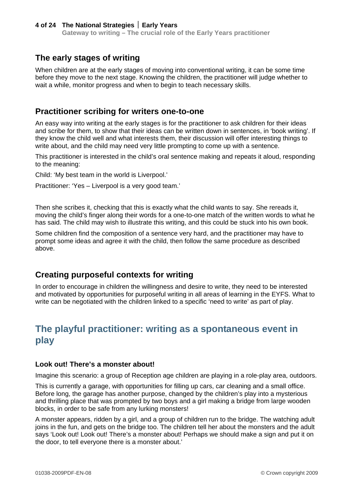### **The early stages of writing**

When children are at the early stages of moving into conventional writing, it can be some time before they move to the next stage. Knowing the children, the practitioner will judge whether to wait a while, monitor progress and when to begin to teach necessary skills.

### **Practitioner scribing for writers one-to-one**

An easy way into writing at the early stages is for the practitioner to ask children for their ideas and scribe for them, to show that their ideas can be written down in sentences, in 'book writing'. If they know the child well and what interests them, their discussion will offer interesting things to write about, and the child may need very little prompting to come up with a sentence.

This practitioner is interested in the child's oral sentence making and repeats it aloud, responding to the meaning:

Child: 'My best team in the world is Liverpool.'

Practitioner: 'Yes – Liverpool is a very good team.'

Then she scribes it, checking that this is exactly what the child wants to say. She rereads it, moving the child's finger along their words for a one-to-one match of the written words to what he has said. The child may wish to illustrate this writing, and this could be stuck into his own book.

Some children find the composition of a sentence very hard, and the practitioner may have to prompt some ideas and agree it with the child, then follow the same procedure as described above.

### **Creating purposeful contexts for writing**

In order to encourage in children the willingness and desire to write, they need to be interested and motivated by opportunities for purposeful writing in all areas of learning in the EYFS. What to write can be negotiated with the children linked to a specific 'need to write' as part of play.

## **The playful practitioner: writing as a spontaneous event in play**

#### **Look out! There's a monster about!**

Imagine this scenario: a group of Reception age children are playing in a role-play area, outdoors.

This is currently a garage, with opportunities for filling up cars, car cleaning and a small office. Before long, the garage has another purpose, changed by the children's play into a mysterious and thrilling place that was prompted by two boys and a girl making a bridge from large wooden blocks, in order to be safe from any lurking monsters!

A monster appears, ridden by a girl, and a group of children run to the bridge. The watching adult joins in the fun, and gets on the bridge too. The children tell her about the monsters and the adult says 'Look out! Look out! There's a monster about! Perhaps we should make a sign and put it on the door, to tell everyone there is a monster about.'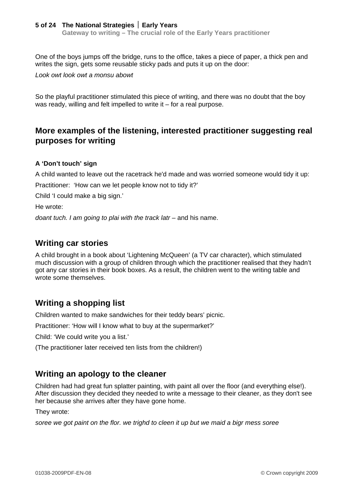**Gateway to writing – The crucial role of the Early Years practitioner**

One of the boys jumps off the bridge, runs to the office, takes a piece of paper, a thick pen and writes the sign, gets some reusable sticky pads and puts it up on the door:

*Look owt look owt a monsu abowt* 

So the playful practitioner stimulated this piece of writing, and there was no doubt that the boy was ready, willing and felt impelled to write it – for a real purpose.

### **More examples of the listening, interested practitioner suggesting real purposes for writing**

#### **A 'Don't touch' sign**

A child wanted to leave out the racetrack he'd made and was worried someone would tidy it up:

Practitioner: 'How can we let people know not to tidy it?'

Child 'I could make a big sign.'

He wrote:

*doant tuch. I am going to plai with the track latr – and his name.* 

### **Writing car stories**

A child brought in a book about 'Lightening McQueen' (a TV car character), which stimulated much discussion with a group of children through which the practitioner realised that they hadn't got any car stories in their book boxes. As a result, the children went to the writing table and wrote some themselves.

### **Writing a shopping list**

Children wanted to make sandwiches for their teddy bears' picnic.

Practitioner: 'How will I know what to buy at the supermarket?'

Child: 'We could write you a list.'

(The practitioner later received ten lists from the children!)

### **Writing an apology to the cleaner**

Children had had great fun splatter painting, with paint all over the floor (and everything else!). After discussion they decided they needed to write a message to their cleaner, as they don't see her because she arrives after they have gone home.

They wrote:

*soree we got paint on the flor. we trighd to cleen it up but we maid a bigr mess soree*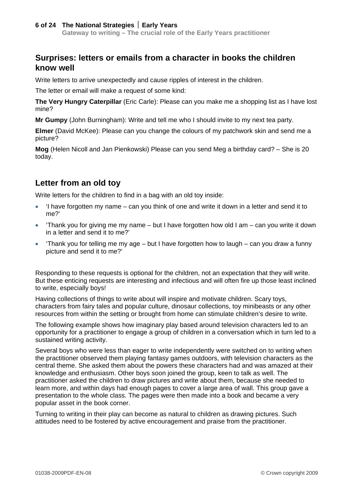### **Surprises: letters or emails from a character in books the children know well**

Write letters to arrive unexpectedly and cause ripples of interest in the children.

The letter or email will make a request of some kind:

**The Very Hungry Caterpillar** (Eric Carle): Please can you make me a shopping list as I have lost mine?

**Mr Gumpy** (John Burningham): Write and tell me who I should invite to my next tea party.

**Elmer** (David McKee): Please can you change the colours of my patchwork skin and send me a picture?

**Mog** (Helen Nicoll and Jan Pienkowski) Please can you send Meg a birthday card? – She is 20 today.

### **Letter from an old toy**

Write letters for the children to find in a bag with an old toy inside:

- $\bullet$  'I have forgotten my name can you think of one and write it down in a letter and send it to me?'
- $\bullet$  'Thank you for giving me my name but I have forgotten how old I am can you write it down in a letter and send it to me?'
- $\bullet$  'Thank you for telling me my age but I have forgotten how to laugh can you draw a funny picture and send it to me?'

Responding to these requests is optional for the children, not an expectation that they will write. But these enticing requests are interesting and infectious and will often fire up those least inclined to write, especially boys!

Having collections of things to write about will inspire and motivate children. Scary toys, characters from fairy tales and popular culture, dinosaur collections, toy minibeasts or any other resources from within the setting or brought from home can stimulate children's desire to write.

The following example shows how imaginary play based around television characters led to an opportunity for a practitioner to engage a group of children in a conversation which in turn led to a sustained writing activity.

Several boys who were less than eager to write independently were switched on to writing when the practitioner observed them playing fantasy games outdoors, with television characters as the central theme. She asked them about the powers these characters had and was amazed at their knowledge and enthusiasm. Other boys soon joined the group, keen to talk as well. The practitioner asked the children to draw pictures and write about them, because she needed to learn more, and within days had enough pages to cover a large area of wall. This group gave a presentation to the whole class. The pages were then made into a book and became a very popular asset in the book corner.

Turning to writing in their play can become as natural to children as drawing pictures. Such attitudes need to be fostered by active encouragement and praise from the practitioner.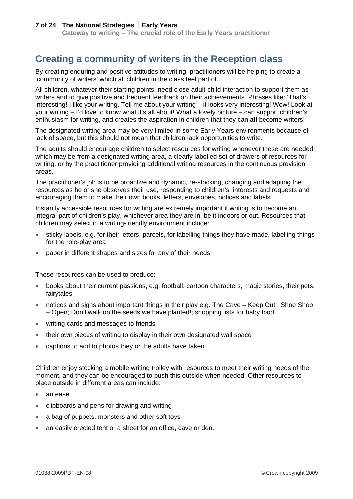## **Creating a community of writers in the Reception class**

By creating enduring and positive attitudes to writing, practitioners will be helping to create a 'community of writers' which all children in the class feel part of.

All children, whatever their starting points, need close adult-child interaction to support them as writers and to give positive and frequent feedback on their achievements. Phrases like: 'That's interesting! I like your writing. Tell me about your writing – it looks very interesting! Wow! Look at your writing – I'd love to know what it's all about! What a lovely picture – can support children's enthusiasm for writing, and creates the aspiration in children that they can **all** become writers!

The designated writing area may be very limited in some Early Years environments because of lack of space, but this should not mean that children lack opportunities to write.

The adults should encourage children to select resources for writing whenever these are needed, which may be from a designated writing area, a clearly labelled set of drawers of resources for writing, or by the practitioner providing additional writing resources in the continuous provision areas.

The practitioner's job is to be proactive and dynamic, re-stocking, changing and adapting the resources as he or she observes their use, responding to children's interests and requests and encouraging them to make their own books, letters, envelopes, notices and labels.

Instantly accessible resources for writing are extremely important if writing is to become an integral part of children's play, whichever area they are in, be it indoors or out. Resources that children may select in a writing-friendly environment include:

- sticky labels, e.g. for their letters, parcels, for labelling things they have made, labelling things for the role-play area
- paper in different shapes and sizes for any of their needs.

These resources can be used to produce:

- books about their current passions, e.g. football, cartoon characters, magic stories, their pets, fairytales
- notices and signs about important things in their play e.g. The Cave Keep Out!; Shoe Shop – Open; Don't walk on the seeds we have planted!; shopping lists for baby food
- writing cards and messages to friends
- their own pieces of writing to display in their own designated wall space
- captions to add to photos they or the adults have taken.

Children enjoy stocking a mobile writing trolley with resources to meet their writing needs of the moment, and they can be encouraged to push this outside when needed. Other resources to place outside in different areas can include:

- an easel
- clipboards and pens for drawing and writing
- a bag of puppets, monsters and other soft toys
- an easily erected tent or a sheet for an office, cave or den.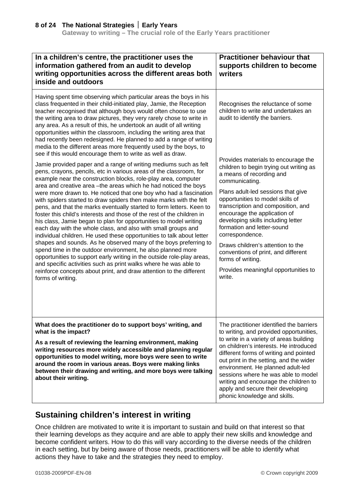| In a children's centre, the practitioner uses the<br>information gathered from an audit to develop<br>writing opportunities across the different areas both<br>inside and outdoors                                                                                                                                                                                                                                                                                                                                                                                                                                                                                                                                                                                                                                                                                                                                                                                                                                                                                                                                                                                   | <b>Practitioner behaviour that</b><br>supports children to become<br>writers                                                                                                                                                                                                                                                                                                                                                                                                                                           |
|----------------------------------------------------------------------------------------------------------------------------------------------------------------------------------------------------------------------------------------------------------------------------------------------------------------------------------------------------------------------------------------------------------------------------------------------------------------------------------------------------------------------------------------------------------------------------------------------------------------------------------------------------------------------------------------------------------------------------------------------------------------------------------------------------------------------------------------------------------------------------------------------------------------------------------------------------------------------------------------------------------------------------------------------------------------------------------------------------------------------------------------------------------------------|------------------------------------------------------------------------------------------------------------------------------------------------------------------------------------------------------------------------------------------------------------------------------------------------------------------------------------------------------------------------------------------------------------------------------------------------------------------------------------------------------------------------|
| Having spent time observing which particular areas the boys in his<br>class frequented in their child-initiated play, Jamie, the Reception<br>teacher recognised that although boys would often choose to use<br>the writing area to draw pictures, they very rarely chose to write in<br>any area. As a result of this, he undertook an audit of all writing<br>opportunities within the classroom, including the writing area that<br>had recently been redesigned. He planned to add a range of writing<br>media to the different areas more frequently used by the boys, to<br>see if this would encourage them to write as well as draw.                                                                                                                                                                                                                                                                                                                                                                                                                                                                                                                        | Recognises the reluctance of some<br>children to write and undertakes an<br>audit to identify the barriers.                                                                                                                                                                                                                                                                                                                                                                                                            |
| Jamie provided paper and a range of writing mediums such as felt<br>pens, crayons, pencils, etc in various areas of the classroom, for<br>example near the construction blocks, role-play area, computer<br>area and creative area -the areas which he had noticed the boys<br>were more drawn to. He noticed that one boy who had a fascination<br>with spiders started to draw spiders then make marks with the felt<br>pens, and that the marks eventually started to form letters. Keen to<br>foster this child's interests and those of the rest of the children in<br>his class, Jamie began to plan for opportunities to model writing<br>each day with the whole class, and also with small groups and<br>individual children. He used these opportunities to talk about letter<br>shapes and sounds. As he observed many of the boys preferring to<br>spend time in the outdoor environment, he also planned more<br>opportunities to support early writing in the outside role-play areas,<br>and specific activities such as print walks where he was able to<br>reinforce concepts about print, and draw attention to the different<br>forms of writing. | Provides materials to encourage the<br>children to begin trying out writing as<br>a means of recording and<br>communicating.<br>Plans adult-led sessions that give<br>opportunities to model skills of<br>transcription and composition, and<br>encourage the application of<br>developing skills including letter<br>formation and letter-sound<br>correspondence.<br>Draws children's attention to the<br>conventions of print, and different<br>forms of writing.<br>Provides meaningful opportunities to<br>write. |
| What does the practitioner do to support boys' writing, and<br>what is the impact?<br>As a result of reviewing the learning environment, making<br>writing resources more widely accessible and planning regular<br>opportunities to model writing, more boys were seen to write<br>around the room in various areas. Boys were making links<br>between their drawing and writing, and more boys were talking<br>about their writing.                                                                                                                                                                                                                                                                                                                                                                                                                                                                                                                                                                                                                                                                                                                                | The practitioner identified the barriers<br>to writing, and provided opportunities,<br>to write in a variety of areas building<br>on children's interests. He introduced<br>different forms of writing and pointed<br>out print in the setting, and the wider<br>environment. He planned adult-led<br>sessions where he was able to model<br>writing and encourage the children to<br>apply and secure their developing<br>phonic knowledge and skills.                                                                |

### **Sustaining children's interest in writing**

Once children are motivated to write it is important to sustain and build on that interest so that their learning develops as they acquire and are able to apply their new skills and knowledge and become confident writers. How to do this will vary according to the diverse needs of the children in each setting, but by being aware of those needs, practitioners will be able to identify what actions they have to take and the strategies they need to employ.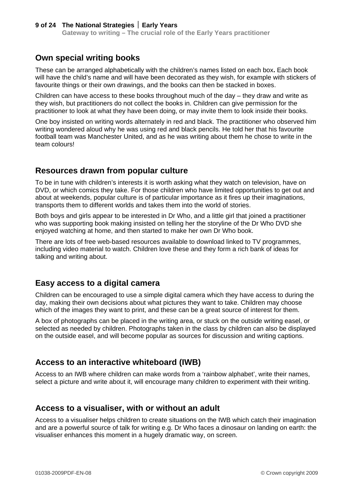### **Own special writing books**

These can be arranged alphabetically with the children's names listed on each box**.** Each book will have the child's name and will have been decorated as they wish, for example with stickers of favourite things or their own drawings, and the books can then be stacked in boxes.

Children can have access to these books throughout much of the day – they draw and write as they wish, but practitioners do not collect the books in. Children can give permission for the practitioner to look at what they have been doing, or may invite them to look inside their books.

One boy insisted on writing words alternately in red and black. The practitioner who observed him writing wondered aloud why he was using red and black pencils. He told her that his favourite football team was Manchester United, and as he was writing about them he chose to write in the team colours!

### **Resources drawn from popular culture**

To be in tune with children's interests it is worth asking what they watch on television, have on DVD, or which comics they take. For those children who have limited opportunities to get out and about at weekends, popular culture is of particular importance as it fires up their imaginations, transports them to different worlds and takes them into the world of stories.

Both boys and girls appear to be interested in Dr Who, and a little girl that joined a practitioner who was supporting book making insisted on telling her the storyline of the Dr Who DVD she enjoyed watching at home, and then started to make her own Dr Who book.

There are lots of free web-based resources available to download linked to TV programmes, including video material to watch. Children love these and they form a rich bank of ideas for talking and writing about.

### **Easy access to a digital camera**

Children can be encouraged to use a simple digital camera which they have access to during the day, making their own decisions about what pictures they want to take. Children may choose which of the images they want to print, and these can be a great source of interest for them.

A box of photographs can be placed in the writing area, or stuck on the outside writing easel, or selected as needed by children. Photographs taken in the class by children can also be displayed on the outside easel, and will become popular as sources for discussion and writing captions.

### **Access to an interactive whiteboard (IWB)**

Access to an IWB where children can make words from a 'rainbow alphabet', write their names, select a picture and write about it, will encourage many children to experiment with their writing.

### **Access to a visualiser, with or without an adult**

Access to a visualiser helps children to create situations on the IWB which catch their imagination and are a powerful source of talk for writing e.g. Dr Who faces a dinosaur on landing on earth: the visualiser enhances this moment in a hugely dramatic way, on screen.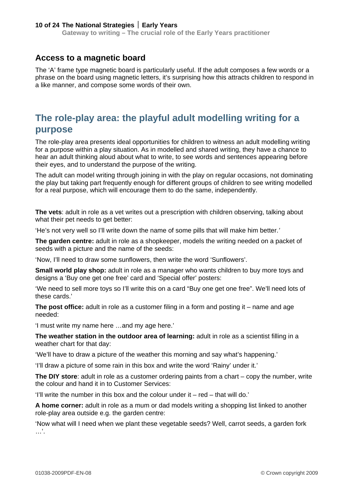**Gateway to writing – The crucial role of the Early Years practitioner**

### **Access to a magnetic board**

The 'A' frame type magnetic board is particularly useful. If the adult composes a few words or a phrase on the board using magnetic letters, it's surprising how this attracts children to respond in a like manner, and compose some words of their own.

## **The role-play area: the playful adult modelling writing for a purpose**

The role-play area presents ideal opportunities for children to witness an adult modelling writing for a purpose within a play situation. As in modelled and shared writing, they have a chance to hear an adult thinking aloud about what to write, to see words and sentences appearing before their eyes, and to understand the purpose of the writing.

The adult can model writing through joining in with the play on regular occasions, not dominating the play but taking part frequently enough for different groups of children to see writing modelled for a real purpose, which will encourage them to do the same, independently.

**The vets**: adult in role as a vet writes out a prescription with children observing, talking about what their pet needs to get better:

'He's not very well so I'll write down the name of some pills that will make him better.*'* 

**The garden centre:** adult in role as a shopkeeper, models the writing needed on a packet of seeds with a picture and the name of the seeds:

'Now, I'll need to draw some sunflowers, then write the word 'Sunflowers'.

**Small world play shop:** adult in role as a manager who wants children to buy more toys and designs a 'Buy one get one free' card and 'Special offer' posters:

'We need to sell more toys so I'll write this on a card "Buy one get one free". We'll need lots of these cards.'

**The post office:** adult in role as a customer filing in a form and posting it – name and age needed:

'I must write my name here …and my age here.'

**The weather station in the outdoor area of learning:** adult in role as a scientist filling in a weather chart for that day:

'We'll have to draw a picture of the weather this morning and say what's happening.'

'I'll draw a picture of some rain in this box and write the word 'Rainy' under it.'

**The DIY store**: adult in role as a customer ordering paints from a chart – copy the number, write the colour and hand it in to Customer Services:

'I'll write the number in this box and the colour under it – red – that will do.'

**A home corner:** adult in role as a mum or dad models writing a shopping list linked to another role-play area outside e.g. the garden centre:

'Now what will I need when we plant these vegetable seeds? Well, carrot seeds, a garden fork  $\ldots$  .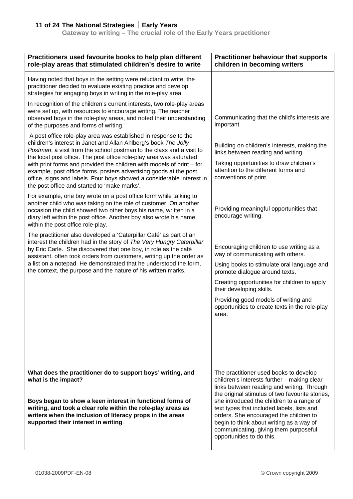**Gateway to writing – The crucial role of the Early Years practitioner**

| Practitioners used favourite books to help plan different<br>role-play areas that stimulated children's desire to write                                                                                                                                                                                                                                                                                                                                                                                                                                    | <b>Practitioner behaviour that supports</b><br>children in becoming writers                                                                                                                                                                                                                                                                                            |
|------------------------------------------------------------------------------------------------------------------------------------------------------------------------------------------------------------------------------------------------------------------------------------------------------------------------------------------------------------------------------------------------------------------------------------------------------------------------------------------------------------------------------------------------------------|------------------------------------------------------------------------------------------------------------------------------------------------------------------------------------------------------------------------------------------------------------------------------------------------------------------------------------------------------------------------|
| Having noted that boys in the setting were reluctant to write, the<br>practitioner decided to evaluate existing practice and develop<br>strategies for engaging boys in writing in the role-play area.                                                                                                                                                                                                                                                                                                                                                     |                                                                                                                                                                                                                                                                                                                                                                        |
| In recognition of the children's current interests, two role-play areas<br>were set up, with resources to encourage writing. The teacher<br>observed boys in the role-play areas, and noted their understanding<br>of the purposes and forms of writing.                                                                                                                                                                                                                                                                                                   | Communicating that the child's interests are<br>important.                                                                                                                                                                                                                                                                                                             |
| A post office role-play area was established in response to the<br>children's interest in Janet and Allan Ahlberg's book The Jolly<br>Postman, a visit from the school postman to the class and a visit to<br>the local post office. The post office role-play area was saturated<br>with print forms and provided the children with models of print $-$ for<br>example, post office forms, posters advertising goods at the post<br>office, signs and labels. Four boys showed a considerable interest in<br>the post office and started to 'make marks'. | Building on children's interests, making the<br>links between reading and writing.<br>Taking opportunities to draw children's<br>attention to the different forms and<br>conventions of print.                                                                                                                                                                         |
| For example, one boy wrote on a post office form while talking to<br>another child who was taking on the role of customer. On another<br>occasion the child showed two other boys his name, written in a<br>diary left within the post office. Another boy also wrote his name<br>within the post office role-play.                                                                                                                                                                                                                                        | Providing meaningful opportunities that<br>encourage writing.                                                                                                                                                                                                                                                                                                          |
| The practitioner also developed a 'Caterpillar Café' as part of an<br>interest the children had in the story of The Very Hungry Caterpillar<br>by Eric Carle. She discovered that one boy, in role as the café<br>assistant, often took orders from customers, writing up the order as<br>a list on a notepad. He demonstrated that he understood the form,<br>the context, the purpose and the nature of his written marks.                                                                                                                               | Encouraging children to use writing as a<br>way of communicating with others.                                                                                                                                                                                                                                                                                          |
|                                                                                                                                                                                                                                                                                                                                                                                                                                                                                                                                                            | Using books to stimulate oral language and<br>promote dialogue around texts.                                                                                                                                                                                                                                                                                           |
|                                                                                                                                                                                                                                                                                                                                                                                                                                                                                                                                                            | Creating opportunities for children to apply<br>their developing skills.                                                                                                                                                                                                                                                                                               |
|                                                                                                                                                                                                                                                                                                                                                                                                                                                                                                                                                            | Providing good models of writing and<br>opportunities to create texts in the role-play<br>area.                                                                                                                                                                                                                                                                        |
|                                                                                                                                                                                                                                                                                                                                                                                                                                                                                                                                                            |                                                                                                                                                                                                                                                                                                                                                                        |
| What does the practitioner do to support boys' writing, and                                                                                                                                                                                                                                                                                                                                                                                                                                                                                                | The practitioner used books to develop                                                                                                                                                                                                                                                                                                                                 |
| what is the impact?<br>Boys began to show a keen interest in functional forms of<br>writing, and took a clear role within the role-play areas as<br>writers when the inclusion of literacy props in the areas<br>supported their interest in writing.                                                                                                                                                                                                                                                                                                      | children's interests further - making clear<br>links between reading and writing. Through<br>the original stimulus of two favourite stories,<br>she introduced the children to a range of<br>text types that included labels, lists and<br>orders. She encouraged the children to<br>begin to think about writing as a way of<br>communicating, giving them purposeful |
|                                                                                                                                                                                                                                                                                                                                                                                                                                                                                                                                                            | opportunities to do this.                                                                                                                                                                                                                                                                                                                                              |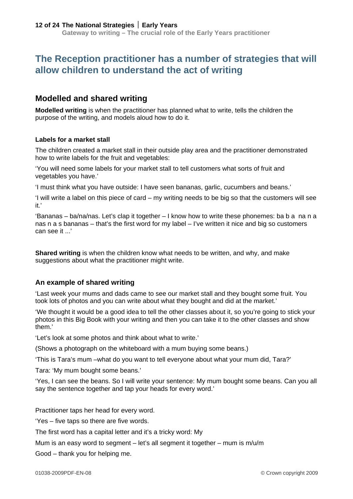## **The Reception practitioner has a number of strategies that will allow children to understand the act of writing**

### **Modelled and shared writing**

**Modelled writing** is when the practitioner has planned what to write, tells the children the purpose of the writing, and models aloud how to do it.

#### **Labels for a market stall**

The children created a market stall in their outside play area and the practitioner demonstrated how to write labels for the fruit and vegetables:

'You will need some labels for your market stall to tell customers what sorts of fruit and vegetables you have.'

'I must think what you have outside: I have seen bananas, garlic, cucumbers and beans.'

'I will write a label on this piece of card – my writing needs to be big so that the customers will see it.'

'Bananas – ba/na/nas. Let's clap it together – I know how to write these phonemes: ba b a na n a nas n a s bananas – that's the first word for my label – I've written it nice and big so customers can see it ...'

**Shared writing** is when the children know what needs to be written, and why, and make suggestions about what the practitioner might write.

#### **An example of shared writing**

'Last week your mums and dads came to see our market stall and they bought some fruit. You took lots of photos and you can write about what they bought and did at the market.'

'We thought it would be a good idea to tell the other classes about it, so you're going to stick your photos in this Big Book with your writing and then you can take it to the other classes and show them.'

'Let's look at some photos and think about what to write.'

(Shows a photograph on the whiteboard with a mum buying some beans.)

'This is Tara's mum –what do you want to tell everyone about what your mum did, Tara?'

Tara: 'My mum bought some beans.'

'Yes, I can see the beans. So I will write your sentence: My mum bought some beans. Can you all say the sentence together and tap your heads for every word.'

Practitioner taps her head for every word.

'Yes – five taps so there are five words.

The first word has a capital letter and it's a tricky word: My

Mum is an easy word to segment – let's all segment it together – mum is  $m/u/m$ 

Good – thank you for helping me.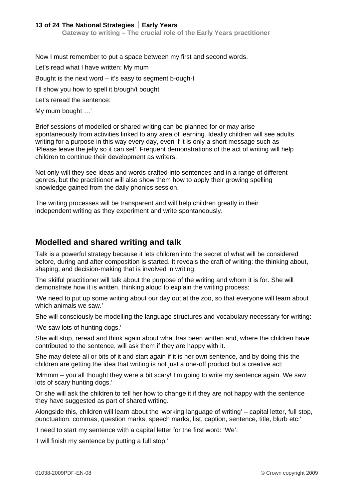Now I must remember to put a space between my first and second words. Let's read what I have written: My mum Bought is the next word – it's easy to segment b-ough-t I'll show you how to spell it b/ough/t bought Let's reread the sentence:

My mum bought …'

Brief sessions of modelled or shared writing can be planned for or may arise spontaneously from activities linked to any area of learning. Ideally children will see adults writing for a purpose in this way every day, even if it is only a short message such as 'Please leave the jelly so it can set'. Frequent demonstrations of the act of writing will help children to continue their development as writers.

Not only will they see ideas and words crafted into sentences and in a range of different genres, but the practitioner will also show them how to apply their growing spelling knowledge gained from the daily phonics session.

The writing processes will be transparent and will help children greatly in their independent writing as they experiment and write spontaneously.

### **Modelled and shared writing and talk**

Talk is a powerful strategy because it lets children into the secret of what will be considered before, during and after composition is started. It reveals the craft of writing: the thinking about, shaping, and decision-making that is involved in writing.

The skilful practitioner will talk about the purpose of the writing and whom it is for. She will demonstrate how it is written, thinking aloud to explain the writing process:

'We need to put up some writing about our day out at the zoo, so that everyone will learn about which animals we saw.'

She will consciously be modelling the language structures and vocabulary necessary for writing:

'We saw lots of hunting dogs.'

She will stop, reread and think again about what has been written and, where the children have contributed to the sentence, will ask them if they are happy with it.

She may delete all or bits of it and start again if it is her own sentence, and by doing this the children are getting the idea that writing is not just a one-off product but a creative act:

'Mmmm – you all thought they were a bit scary! I'm going to write my sentence again. We saw lots of scary hunting dogs.'

Or she will ask the children to tell her how to change it if they are not happy with the sentence they have suggested as part of shared writing.

Alongside this, children will learn about the 'working language of writing' – capital letter, full stop, punctuation, commas, question marks, speech marks, list, caption, sentence, title, blurb etc:'

'I need to start my sentence with a capital letter for the first word: 'We'.

'I will finish my sentence by putting a full stop.'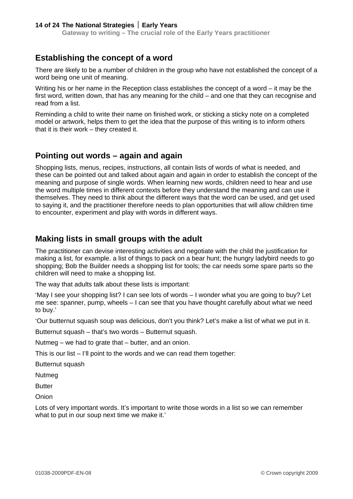### **Establishing the concept of a word**

There are likely to be a number of children in the group who have not established the concept of a word being one unit of meaning.

Writing his or her name in the Reception class establishes the concept of a word – it may be the first word, written down, that has any meaning for the child – and one that they can recognise and read from a list.

Reminding a child to write their name on finished work, or sticking a sticky note on a completed model or artwork, helps them to get the idea that the purpose of this writing is to inform others that it is their work – they created it.

### **Pointing out words – again and again**

Shopping lists, menus, recipes, instructions, all contain lists of words of what is needed, and these can be pointed out and talked about again and again in order to establish the concept of the meaning and purpose of single words. When learning new words, children need to hear and use the word multiple times in different contexts before they understand the meaning and can use it themselves. They need to think about the different ways that the word can be used, and get used to saying it, and the practitioner therefore needs to plan opportunities that will allow children time to encounter, experiment and play with words in different ways.

### **Making lists in small groups with the adult**

The practitioner can devise interesting activities and negotiate with the child the justification for making a list, for example. a list of things to pack on a bear hunt; the hungry ladybird needs to go shopping; Bob the Builder needs a shopping list for tools; the car needs some spare parts so the children will need to make a shopping list.

The way that adults talk about these lists is important:

'May I see your shopping list? I can see lots of words – I wonder what you are going to buy? Let me see: spanner, pump, wheels – I can see that you have thought carefully about what we need to buy.'

'Our butternut squash soup was delicious, don't you think? Let's make a list of what we put in it.

Butternut squash – that's two words – Butternut squash.

Nutmeg – we had to grate that – butter, and an onion.

This is our list – I'll point to the words and we can read them together:

Butternut squash

Nutmeg

**Butter** 

**Onion** 

Lots of very important words. It's important to write those words in a list so we can remember what to put in our soup next time we make it.'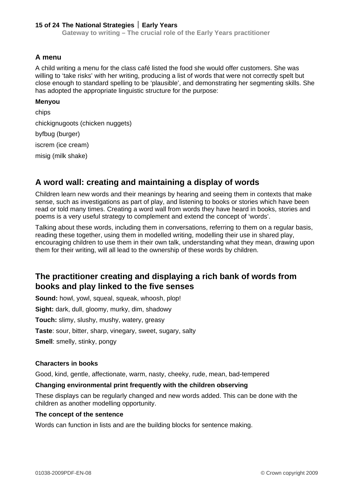**Gateway to writing – The crucial role of the Early Years practitioner**

#### **A menu**

A child writing a menu for the class café listed the food she would offer customers. She was willing to 'take risks' with her writing, producing a list of words that were not correctly spelt but close enough to standard spelling to be 'plausible', and demonstrating her segmenting skills. She has adopted the appropriate linguistic structure for the purpose:

#### **Menyou**

chips chickignugoots (chicken nuggets) byfbug (burger) iscrem (ice cream) misig (milk shake)

### **A word wall: creating and maintaining a display of words**

Children learn new words and their meanings by hearing and seeing them in contexts that make sense, such as investigations as part of play, and listening to books or stories which have been read or told many times. Creating a word wall from words they have heard in books, stories and poems is a very useful strategy to complement and extend the concept of 'words'.

Talking about these words, including them in conversations, referring to them on a regular basis, reading these together, using them in modelled writing, modelling their use in shared play, encouraging children to use them in their own talk, understanding what they mean, drawing upon them for their writing, will all lead to the ownership of these words by children.

### **The practitioner creating and displaying a rich bank of words from books and play linked to the five senses**

**Sound:** howl, yowl, squeal, squeak, whoosh, plop!

**Sight:** dark, dull, gloomy, murky, dim, shadowy

**Touch:** slimy, slushy, mushy, watery, greasy

**Taste**: sour, bitter, sharp, vinegary, sweet, sugary, salty

**Smell**: smelly, stinky, pongy

#### **Characters in books**

Good, kind, gentle, affectionate, warm, nasty, cheeky, rude, mean, bad-tempered

#### **Changing environmental print frequently with the children observing**

These displays can be regularly changed and new words added. This can be done with the children as another modelling opportunity.

#### **The concept of the sentence**

Words can function in lists and are the building blocks for sentence making.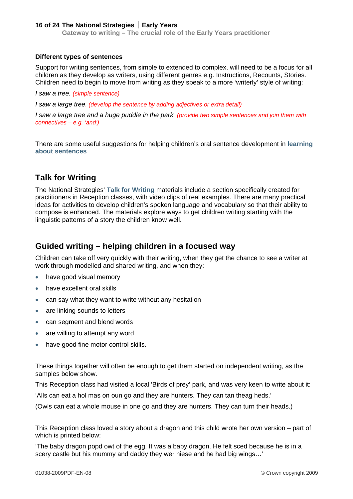**Gateway to writing – The crucial role of the Early Years practitioner**

#### **Different types of sentences**

Support for writing sentences, from simple to extended to complex, will need to be a focus for all children as they develop as writers, using different genres e.g. Instructions, Recounts, Stories. Children need to begin to move from writing as they speak to a more 'writerly' style of writing:

*I saw a tree. (simple sentence)* 

*I saw a large tree. (develop the sentence by adding adjectives or extra detail)* 

*I saw a large tree and a huge puddle in the park. (provide two simple sentences and join them with connectives – e.g. 'and')* 

There are some useful suggestions for helping children's oral sentence development in **[learning](http://nationalstrategies.standards.dcsf.gov.uk/node/254281)  [about sentences](http://nationalstrategies.standards.dcsf.gov.uk/node/254281)**

### **Talk for Writing**

The National Strategies' **[Talk for Writing](http://nationalstrategies.standards.dcsf.gov.uk/node/154519)** materials include a section specifically created for practitioners in Reception classes, with video clips of real examples. There are many practical ideas for activities to develop children's spoken language and vocabulary so that their ability to compose is enhanced. The materials explore ways to get children writing starting with the linguistic patterns of a story the children know well.

### **Guided writing – helping children in a focused way**

Children can take off very quickly with their writing, when they get the chance to see a writer at work through modelled and shared writing, and when they:

- have good visual memory
- have excellent oral skills
- can say what they want to write without any hesitation
- are linking sounds to letters
- can segment and blend words
- are willing to attempt any word
- have good fine motor control skills.

These things together will often be enough to get them started on independent writing, as the samples below show.

This Reception class had visited a local 'Birds of prey' park, and was very keen to write about it:

'Alls can eat a hol mas on oun go and they are hunters. They can tan theag heds.'

(Owls can eat a whole mouse in one go and they are hunters. They can turn their heads.)

This Reception class loved a story about a dragon and this child wrote her own version – part of which is printed below:

'The baby dragon popd owt of the egg. It was a baby dragon. He felt sced because he is in a scery castle but his mummy and daddy they wer niese and he had big wings…'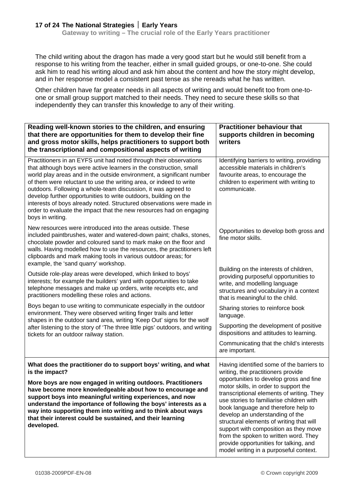The child writing about the dragon has made a very good start but he would still benefit from a response to his writing from the teacher, either in small guided groups, or one-to-one. She could ask him to read his writing aloud and ask him about the content and how the story might develop, and in her response model a consistent past tense as she rereads what he has written.

Other children have far greater needs in all aspects of writing and would benefit too from one-toone or small group support matched to their needs. They need to secure these skills so that independently they can transfer this knowledge to any of their writing.

| Reading well-known stories to the children, and ensuring<br>that there are opportunities for them to develop their fine<br>and gross motor skills, helps practitioners to support both<br>the transcriptional and compositional aspects of writing                                                                                                                                                                                                                                                                                                                                               | <b>Practitioner behaviour that</b><br>supports children in becoming<br>writers                                                                                                                                                                                                                                                                                                                                              |
|--------------------------------------------------------------------------------------------------------------------------------------------------------------------------------------------------------------------------------------------------------------------------------------------------------------------------------------------------------------------------------------------------------------------------------------------------------------------------------------------------------------------------------------------------------------------------------------------------|-----------------------------------------------------------------------------------------------------------------------------------------------------------------------------------------------------------------------------------------------------------------------------------------------------------------------------------------------------------------------------------------------------------------------------|
| Practitioners in an EYFS unit had noted through their observations<br>that although boys were active learners in the construction, small<br>world play areas and in the outside environment, a significant number<br>of them were reluctant to use the writing area, or indeed to write<br>outdoors. Following a whole-team discussion, it was agreed to<br>develop further opportunities to write outdoors, building on the<br>interests of boys already noted. Structured observations were made in<br>order to evaluate the impact that the new resources had on engaging<br>boys in writing. | Identifying barriers to writing, providing<br>accessible materials in children's<br>favourite areas, to encourage the<br>children to experiment with writing to<br>communicate.                                                                                                                                                                                                                                             |
| New resources were introduced into the areas outside. These<br>included paintbrushes, water and watered-down paint; chalks, stones,<br>chocolate powder and coloured sand to mark make on the floor and<br>walls. Having modelled how to use the resources, the practitioners left<br>clipboards and mark making tools in various outdoor areas; for<br>example, the 'sand quarry' workshop.                                                                                                                                                                                                     | Opportunities to develop both gross and<br>fine motor skills.                                                                                                                                                                                                                                                                                                                                                               |
| Outside role-play areas were developed, which linked to boys'<br>interests; for example the builders' yard with opportunities to take<br>telephone messages and make up orders, write receipts etc, and<br>practitioners modelling these roles and actions.                                                                                                                                                                                                                                                                                                                                      | Building on the interests of children,<br>providing purposeful opportunities to<br>write, and modelling language<br>structures and vocabulary in a context<br>that is meaningful to the child.                                                                                                                                                                                                                              |
| Boys began to use writing to communicate especially in the outdoor<br>environment. They were observed writing finger trails and letter<br>shapes in the outdoor sand area, writing 'Keep Out' signs for the wolf<br>after listening to the story of 'The three little pigs' outdoors, and writing<br>tickets for an outdoor railway station.                                                                                                                                                                                                                                                     | Sharing stories to reinforce book<br>language.                                                                                                                                                                                                                                                                                                                                                                              |
|                                                                                                                                                                                                                                                                                                                                                                                                                                                                                                                                                                                                  | Supporting the development of positive<br>dispositions and attitudes to learning.                                                                                                                                                                                                                                                                                                                                           |
|                                                                                                                                                                                                                                                                                                                                                                                                                                                                                                                                                                                                  | Communicating that the child's interests<br>are important.                                                                                                                                                                                                                                                                                                                                                                  |
| What does the practitioner do to support boys' writing, and what<br>is the impact?<br>More boys are now engaged in writing outdoors. Practitioners<br>have become more knowledgeable about how to encourage and<br>support boys into meaningful writing experiences, and now<br>understand the importance of following the boys' interests as a<br>way into supporting them into writing and to think about ways<br>that their interest could be sustained, and their learning<br>developed.                                                                                                     | Having identified some of the barriers to<br>writing, the practitioners provide<br>opportunities to develop gross and fine<br>motor skills, in order to support the<br>transcriptional elements of writing. They<br>use stories to familiarise children with<br>book language and therefore help to<br>develop an understanding of the<br>structural elements of writing that will<br>support with composition as they move |
|                                                                                                                                                                                                                                                                                                                                                                                                                                                                                                                                                                                                  | from the spoken to written word. They<br>provide opportunities for talking, and<br>model writing in a purposeful context.                                                                                                                                                                                                                                                                                                   |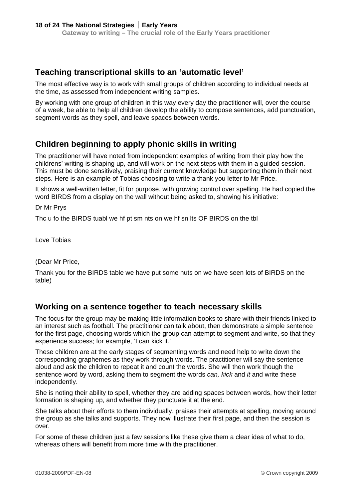### **Teaching transcriptional skills to an 'automatic level'**

The most effective way is to work with small groups of children according to individual needs at the time, as assessed from independent writing samples.

By working with one group of children in this way every day the practitioner will, over the course of a week, be able to help all children develop the ability to compose sentences, add punctuation, segment words as they spell, and leave spaces between words.

### **Children beginning to apply phonic skills in writing**

The practitioner will have noted from independent examples of writing from their play how the childrens' writing is shaping up, and will work on the next steps with them in a guided session. This must be done sensitively, praising their current knowledge but supporting them in their next steps. Here is an example of Tobias choosing to write a thank you letter to Mr Price.

It shows a well-written letter, fit for purpose, with growing control over spelling. He had copied the word BIRDS from a display on the wall without being asked to, showing his initiative:

Dr Mr Prys

Thc u fo the BIRDS tuabl we hf pt sm nts on we hf sn lts OF BIRDS on the tbl

Love Tobias

(Dear Mr Price,

Thank you for the BIRDS table we have put some nuts on we have seen lots of BIRDS on the table)

### **Working on a sentence together to teach necessary skills**

The focus for the group may be making little information books to share with their friends linked to an interest such as football. The practitioner can talk about, then demonstrate a simple sentence for the first page, choosing words which the group can attempt to segment and write, so that they experience success; for example, 'I can kick it.'

These children are at the early stages of segmenting words and need help to write down the corresponding graphemes as they work through words. The practitioner will say the sentence aloud and ask the children to repeat it and count the words. She will then work though the sentence word by word, asking them to segment the words *can, kick* and *it* and write these independently.

She is noting their ability to spell, whether they are adding spaces between words, how their letter formation is shaping up, and whether they punctuate it at the end.

She talks about their efforts to them individually, praises their attempts at spelling, moving around the group as she talks and supports. They now illustrate their first page, and then the session is over.

For some of these children just a few sessions like these give them a clear idea of what to do, whereas others will benefit from more time with the practitioner.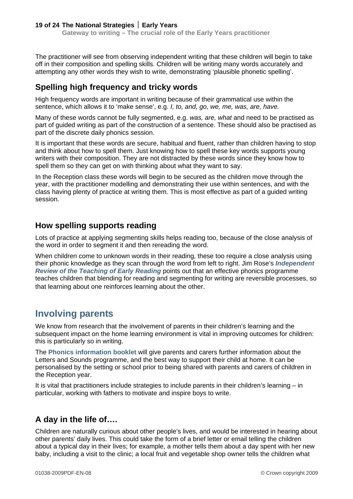The practitioner will see from observing independent writing that these children will begin to take off in their composition and spelling skills. Children will be writing many words accurately and attempting any other words they wish to write, demonstrating 'plausible phonetic spelling'.

### **Spelling high frequency and tricky words**

High frequency words are important in writing because of their grammatical use within the sentence, which allows it to 'make sense', e.g. *I, to, and, go, we, me, was, are, have.*

Many of these words cannot be fully segmented, e.g. *was, are, what* and need to be practised as part of guided writing as part of the construction of a sentence. These should also be practised as part of the discrete daily phonics session.

It is important that these words are secure, habitual and fluent, rather than children having to stop and think about how to spell them. Just knowing how to spell these key words supports young writers with their composition. They are not distracted by these words since they know how to spell them so they can get on with thinking about what they want to say.

In the Reception class these words will begin to be secured as the children move through the year, with the practitioner modelling and demonstrating their use within sentences, and with the class having plenty of practice at writing them. This is most effective as part of a guided writing session.

### **How spelling supports reading**

Lots of practice at applying segmenting skills helps reading too, because of the close analysis of the word in order to segment it and then rereading the word.

When children come to unknown words in their reading, these too require a close analysis using their phonic knowledge as they scan through the word from left to right. Jim Rose's *[Independent](http://nationalstrategies.standards.dcsf.gov.uk/node/84519)  Review [of the Teaching of Early Reading](http://nationalstrategies.standards.dcsf.gov.uk/node/84519)* points out that an effective phonics programme teaches children that blending for reading and segmenting for writing are reversible processes, so that learning about one reinforces learning about the other.

## **Involving parents**

We know from research that the involvement of parents in their children's learning and the subsequent impact on the home learning environment is vital in improving outcomes for children: this is particularly so in writing.

The **[Phonics information booklet](http://nationalstrategies.standards.dcsf.gov.uk/node/83323)** will give parents and carers further information about the Letters and Sounds programme, and the best way to support their child at home. It can be personalised by the setting or school prior to being shared with parents and carers of children in the Reception year.

It is vital that practitioners include strategies to include parents in their children's learning – in particular, working with fathers to motivate and inspire boys to write.

## **A day in the life of….**

Children are naturally curious about other people's lives, and would be interested in hearing about other parents' daily lives. This could take the form of a brief letter or email telling the children about a typical day in their lives; for example, a mother tells them about a day spent with her new baby, including a visit to the clinic; a local fruit and vegetable shop owner tells the children what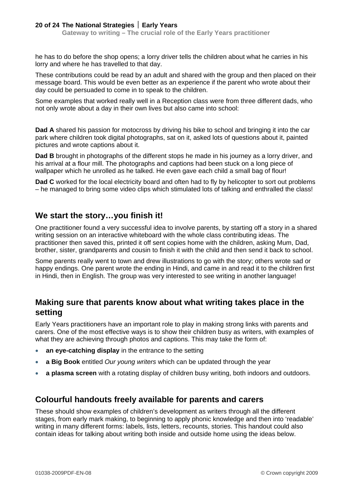he has to do before the shop opens; a lorry driver tells the children about what he carries in his lorry and where he has travelled to that day.

These contributions could be read by an adult and shared with the group and then placed on their message board. This would be even better as an experience if the parent who wrote about their day could be persuaded to come in to speak to the children.

Some examples that worked really well in a Reception class were from three different dads, who not only wrote about a day in their own lives but also came into school:

**Dad A** shared his passion for motocross by driving his bike to school and bringing it into the car park where children took digital photographs, sat on it, asked lots of questions about it, painted pictures and wrote captions about it.

**Dad B** brought in photographs of the different stops he made in his journey as a lorry driver, and his arrival at a flour mill. The photographs and captions had been stuck on a long piece of wallpaper which he unrolled as he talked. He even gave each child a small bag of flour!

**Dad C** worked for the local electricity board and often had to fly by helicopter to sort out problems – he managed to bring some video clips which stimulated lots of talking and enthralled the class!

### **We start the story…you finish it!**

One practitioner found a very successful idea to involve parents, by starting off a story in a shared writing session on an interactive whiteboard with the whole class contributing ideas. The practitioner then saved this, printed it off sent copies home with the children, asking Mum, Dad, brother, sister, grandparents and cousin to finish it with the child and then send it back to school.

Some parents really went to town and drew illustrations to go with the story; others wrote sad or happy endings. One parent wrote the ending in Hindi, and came in and read it to the children first in Hindi, then in English. The group was very interested to see writing in another language!

### **Making sure that parents know about what writing takes place in the setting**

Early Years practitioners have an important role to play in making strong links with parents and carers. One of the most effective ways is to show their children busy as writers, with examples of what they are achieving through photos and captions. This may take the form of:

- **an eye-catching display** in the entrance to the setting
- **a Big Book** entitled *Our young writers* which can be updated through the year
- **a plasma screen** with a rotating display of children busy writing, both indoors and outdoors.

### **Colourful handouts freely available for parents and carers**

These should show examples of children's development as writers through all the different stages, from early mark making, to beginning to apply phonic knowledge and then into 'readable' writing in many different forms: labels, lists, letters, recounts, stories. This handout could also contain ideas for talking about writing both inside and outside home using the ideas below.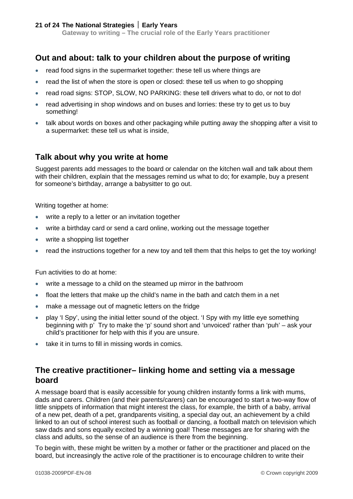### **Out and about: talk to your children about the purpose of writing**

- read food signs in the supermarket together: these tell us where things are
- read the list of when the store is open or closed: these tell us when to go shopping
- read road signs: STOP, SLOW, NO PARKING: these tell drivers what to do, or not to do!
- read advertising in shop windows and on buses and lorries: these try to get us to buy something!
- talk about words on boxes and other packaging while putting away the shopping after a visit to a supermarket: these tell us what is inside,

### **Talk about why you write at home**

Suggest parents add messages to the board or calendar on the kitchen wall and talk about them with their children, explain that the messages remind us what to do; for example, buy a present for someone's birthday, arrange a babysitter to go out.

Writing together at home:

- write a reply to a letter or an invitation together
- write a birthday card or send a card online, working out the message together
- write a shopping list together
- read the instructions together for a new toy and tell them that this helps to get the toy working!

Fun activities to do at home:

- write a message to a child on the steamed up mirror in the bathroom
- float the letters that make up the child's name in the bath and catch them in a net
- make a message out of magnetic letters on the fridge
- play 'I Spy', using the initial letter sound of the object. 'I Spy with my little eye something beginning with p' Try to make the 'p' sound short and 'unvoiced' rather than 'puh' – ask your child's practitioner for help with this if you are unsure.
- take it in turns to fill in missing words in comics.

### **The creative practitioner– linking home and setting via a message board**

A message board that is easily accessible for young children instantly forms a link with mums, dads and carers. Children (and their parents/carers) can be encouraged to start a two-way flow of little snippets of information that might interest the class, for example, the birth of a baby, arrival of a new pet, death of a pet, grandparents visiting, a special day out, an achievement by a child linked to an out of school interest such as football or dancing, a football match on television which saw dads and sons equally excited by a winning goal! These messages are for sharing with the class and adults, so the sense of an audience is there from the beginning.

To begin with, these might be written by a mother or father or the practitioner and placed on the board, but increasingly the active role of the practitioner is to encourage children to write their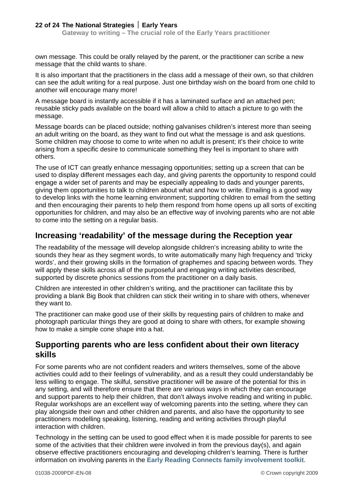own message. This could be orally relayed by the parent, or the practitioner can scribe a new message that the child wants to share.

It is also important that the practitioners in the class add a message of their own, so that children can see the adult writing for a real purpose. Just one birthday wish on the board from one child to another will encourage many more!

A message board is instantly accessible if it has a laminated surface and an attached pen; reusable sticky pads available on the board will allow a child to attach a picture to go with the message.

Message boards can be placed outside; nothing galvanises children's interest more than seeing an adult writing on the board, as they want to find out what the message is and ask questions. Some children may choose to come to write when no adult is present; it's their choice to write arising from a specific desire to communicate something they feel is important to share with others.

The use of ICT can greatly enhance messaging opportunities; setting up a screen that can be used to display different messages each day, and giving parents the opportunity to respond could engage a wider set of parents and may be especially appealing to dads and younger parents, giving them opportunities to talk to children about what and how to write. Emailing is a good way to develop links with the home learning environment; supporting children to email from the setting and then encouraging their parents to help them respond from home opens up all sorts of exciting opportunities for children, and may also be an effective way of involving parents who are not able to come into the setting on a regular basis.

### **Increasing 'readability' of the message during the Reception year**

The readability of the message will develop alongside children's increasing ability to write the sounds they hear as they segment words, to write automatically many high frequency and 'tricky words', and their growing skills in the formation of graphemes and spacing between words. They will apply these skills across all of the purposeful and engaging writing activities described, supported by discrete phonics sessions from the practitioner on a daily basis.

Children are interested in other children's writing, and the practitioner can facilitate this by providing a blank Big Book that children can stick their writing in to share with others, whenever they want to.

The practitioner can make good use of their skills by requesting pairs of children to make and photograph particular things they are good at doing to share with others, for example showing how to make a simple cone shape into a hat.

### **Supporting parents who are less confident about their own literacy skills**

For some parents who are not confident readers and writers themselves, some of the above activities could add to their feelings of vulnerability, and as a result they could understandably be less willing to engage. The skilful, sensitive practitioner will be aware of the potential for this in any setting, and will therefore ensure that there are various ways in which they can encourage and support parents to help their children, that don't always involve reading and writing in public. Regular workshops are an excellent way of welcoming parents into the setting, where they can play alongside their own and other children and parents, and also have the opportunity to see practitioners modelling speaking, listening, reading and writing activities through playful interaction with children.

Technology in the setting can be used to good effect when it is made possible for parents to see some of the activities that their children were involved in from the previous day(s), and again observe effective practitioners encouraging and developing children's learning. There is further information on involving parents in the **[Early Reading Connects family involvement toolkit](http://www.literacytrust.org.uk/earlyreadingconnects/toolkit.html)**.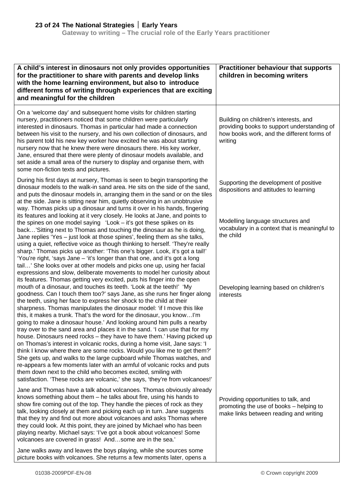| A child's interest in dinosaurs not only provides opportunities<br>for the practitioner to share with parents and develop links<br>with the home learning environment, but also to introduce<br>different forms of writing through experiences that are exciting<br>and meaningful for the children                                                                                                                                                                                                                                                                                                                                                                                                                                                                                                                                                                                                                                                                                                                                                                                | <b>Practitioner behaviour that supports</b><br>children in becoming writers                                                                   |
|------------------------------------------------------------------------------------------------------------------------------------------------------------------------------------------------------------------------------------------------------------------------------------------------------------------------------------------------------------------------------------------------------------------------------------------------------------------------------------------------------------------------------------------------------------------------------------------------------------------------------------------------------------------------------------------------------------------------------------------------------------------------------------------------------------------------------------------------------------------------------------------------------------------------------------------------------------------------------------------------------------------------------------------------------------------------------------|-----------------------------------------------------------------------------------------------------------------------------------------------|
| On a 'welcome day' and subsequent home visits for children starting<br>nursery, practitioners noticed that some children were particularly<br>interested in dinosaurs. Thomas in particular had made a connection<br>between his visit to the nursery, and his own collection of dinosaurs, and<br>his parent told his new key worker how excited he was about starting<br>nursery now that he knew there were dinosaurs there. His key worker,<br>Jane, ensured that there were plenty of dinosaur models available, and<br>set aside a small area of the nursery to display and organise them, with<br>some non-fiction texts and pictures.                                                                                                                                                                                                                                                                                                                                                                                                                                      | Building on children's interests, and<br>providing books to support understanding of<br>how books work, and the different forms of<br>writing |
| During his first days at nursery, Thomas is seen to begin transporting the<br>dinosaur models to the walk-in sand area. He sits on the side of the sand,<br>and puts the dinosaur models in, arranging them in the sand or on the tiles<br>at the side. Jane is sitting near him, quietly observing in an unobtrusive<br>way. Thomas picks up a dinosaur and turns it over in his hands, fingering                                                                                                                                                                                                                                                                                                                                                                                                                                                                                                                                                                                                                                                                                 | Supporting the development of positive<br>dispositions and attitudes to learning                                                              |
| its features and looking at it very closely. He looks at Jane, and points to<br>the spines on one model saying 'Look - it's got these spikes on its<br>back'Sitting next to Thomas and touching the dinosaur as he is doing,<br>Jane replies 'Yes – just look at those spines', feeling them as she talks,<br>using a quiet, reflective voice as though thinking to herself. 'They're really<br>sharp.' Thomas picks up another: 'This one's bigger. Look, it's got a tail!'<br>'You're right, 'says Jane – 'it's longer than that one, and it's got a long<br>tail' She looks over at other models and picks one up, using her facial<br>expressions and slow, deliberate movements to model her curiosity about<br>its features. Thomas getting very excited, puts his finger into the open                                                                                                                                                                                                                                                                                      | Modelling language structures and<br>vocabulary in a context that is meaningful to<br>the child                                               |
| mouth of a dinosaur, and touches its teeth. 'Look at the teeth!' 'My<br>goodness. Can I touch them too?' says Jane, as she runs her finger along<br>the teeth, using her face to express her shock to the child at their<br>sharpness. Thomas manipulates the dinosaur model: 'if I move this like<br>this, it makes a trunk. That's the word for the dinosaur, you know I'm<br>going to make a dinosaur house.' And looking around him pulls a nearby<br>tray over to the sand area and places it in the sand. I can use that for my<br>house. Dinosaurs need rocks – they have to have them.' Having picked up<br>on Thomas's interest in volcanic rocks, during a home visit, Jane says: 'I<br>think I know where there are some rocks. Would you like me to get them?'<br>She gets up, and walks to the large cupboard while Thomas watches, and<br>re-appears a few moments later with an armful of volcanic rocks and puts<br>them down next to the child who becomes excited, smiling with<br>satisfaction. 'These rocks are volcanic,' she says, 'they're from volcanoes!' | Developing learning based on children's<br>interests                                                                                          |
| Jane and Thomas have a talk about volcanoes. Thomas obviously already<br>knows something about them - he talks about fire, using his hands to<br>show fire coming out of the top. They handle the pieces of rock as they<br>talk, looking closely at them and picking each up in turn. Jane suggests<br>that they try and find out more about volcanoes and asks Thomas where<br>they could look. At this point, they are joined by Michael who has been<br>playing nearby. Michael says: 'I've got a book about volcanoes! Some<br>volcanoes are covered in grass! Andsome are in the sea.'                                                                                                                                                                                                                                                                                                                                                                                                                                                                                       | Providing opportunities to talk, and<br>promoting the use of books - helping to<br>make links between reading and writing                     |
| Jane walks away and leaves the boys playing, while she sources some<br>picture books with volcanoes. She returns a few moments later, opens a                                                                                                                                                                                                                                                                                                                                                                                                                                                                                                                                                                                                                                                                                                                                                                                                                                                                                                                                      |                                                                                                                                               |